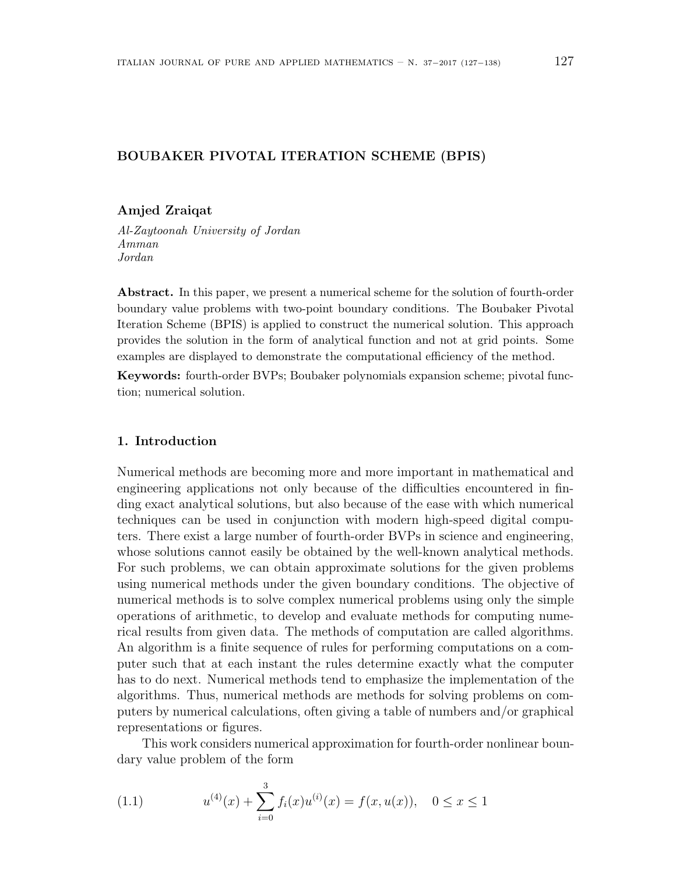# **BOUBAKER PIVOTAL ITERATION SCHEME (BPIS)**

# **Amjed Zraiqat**

*Al-Zaytoonah University of Jordan Amman Jordan*

**Abstract.** In this paper, we present a numerical scheme for the solution of fourth-order boundary value problems with two-point boundary conditions. The Boubaker Pivotal Iteration Scheme (BPIS) is applied to construct the numerical solution. This approach provides the solution in the form of analytical function and not at grid points. Some examples are displayed to demonstrate the computational efficiency of the method.

**Keywords:** fourth-order BVPs; Boubaker polynomials expansion scheme; pivotal function; numerical solution.

# **1. Introduction**

Numerical methods are becoming more and more important in mathematical and engineering applications not only because of the difficulties encountered in finding exact analytical solutions, but also because of the ease with which numerical techniques can be used in conjunction with modern high-speed digital computers. There exist a large number of fourth-order BVPs in science and engineering, whose solutions cannot easily be obtained by the well-known analytical methods. For such problems, we can obtain approximate solutions for the given problems using numerical methods under the given boundary conditions. The objective of numerical methods is to solve complex numerical problems using only the simple operations of arithmetic, to develop and evaluate methods for computing numerical results from given data. The methods of computation are called algorithms. An algorithm is a finite sequence of rules for performing computations on a computer such that at each instant the rules determine exactly what the computer has to do next. Numerical methods tend to emphasize the implementation of the algorithms. Thus, numerical methods are methods for solving problems on computers by numerical calculations, often giving a table of numbers and/or graphical representations or figures.

This work considers numerical approximation for fourth-order nonlinear boundary value problem of the form

(1.1) 
$$
u^{(4)}(x) + \sum_{i=0}^{3} f_i(x)u^{(i)}(x) = f(x, u(x)), \quad 0 \le x \le 1
$$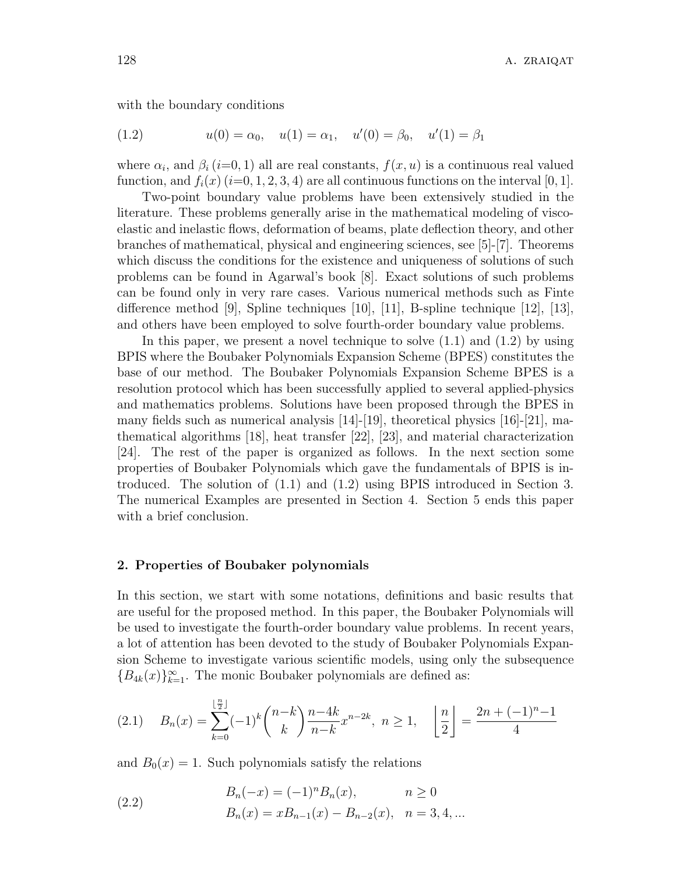with the boundary conditions

(1.2) 
$$
u(0) = \alpha_0, \quad u(1) = \alpha_1, \quad u'(0) = \beta_0, \quad u'(1) = \beta_1
$$

where  $\alpha_i$ , and  $\beta_i$  (*i*=0, 1) all are real constants,  $f(x, u)$  is a continuous real valued function, and  $f_i(x)$  ( $i=0,1,2,3,4$ ) are all continuous functions on the interval [0, 1].

Two-point boundary value problems have been extensively studied in the literature. These problems generally arise in the mathematical modeling of viscoelastic and inelastic flows, deformation of beams, plate deflection theory, and other branches of mathematical, physical and engineering sciences, see [5]-[7]. Theorems which discuss the conditions for the existence and uniqueness of solutions of such problems can be found in Agarwal's book [8]. Exact solutions of such problems can be found only in very rare cases. Various numerical methods such as Finte difference method [9], Spline techniques [10], [11], B-spline technique [12], [13], and others have been employed to solve fourth-order boundary value problems.

In this paper, we present a novel technique to solve  $(1.1)$  and  $(1.2)$  by using BPIS where the Boubaker Polynomials Expansion Scheme (BPES) constitutes the base of our method. The Boubaker Polynomials Expansion Scheme BPES is a resolution protocol which has been successfully applied to several applied-physics and mathematics problems. Solutions have been proposed through the BPES in many fields such as numerical analysis  $[14]$ -[19], theoretical physics  $[16]$ -[21], mathematical algorithms [18], heat transfer [22], [23], and material characterization [24]. The rest of the paper is organized as follows. In the next section some properties of Boubaker Polynomials which gave the fundamentals of BPIS is introduced. The solution of (1.1) and (1.2) using BPIS introduced in Section 3. The numerical Examples are presented in Section 4. Section 5 ends this paper with a brief conclusion.

### **2. Properties of Boubaker polynomials**

In this section, we start with some notations, definitions and basic results that are useful for the proposed method. In this paper, the Boubaker Polynomials will be used to investigate the fourth-order boundary value problems. In recent years, a lot of attention has been devoted to the study of Boubaker Polynomials Expansion Scheme to investigate various scientific models, using only the subsequence  ${B_{4k}(x)}_{k=1}^{\infty}$ . The monic Boubaker polynomials are defined as:

$$
(2.1) \quad B_n(x) = \sum_{k=0}^{\lfloor \frac{n}{2} \rfloor} (-1)^k {n-k \choose k} \frac{n-4k}{n-k} x^{n-2k}, \ n \ge 1, \quad \left\lfloor \frac{n}{2} \right\rfloor = \frac{2n + (-1)^n - 1}{4}
$$

and  $B_0(x) = 1$ . Such polynomials satisfy the relations

(2.2) 
$$
B_n(-x) = (-1)^n B_n(x), \qquad n \ge 0
$$

$$
B_n(x) = xB_{n-1}(x) - B_{n-2}(x), \quad n = 3, 4, ...
$$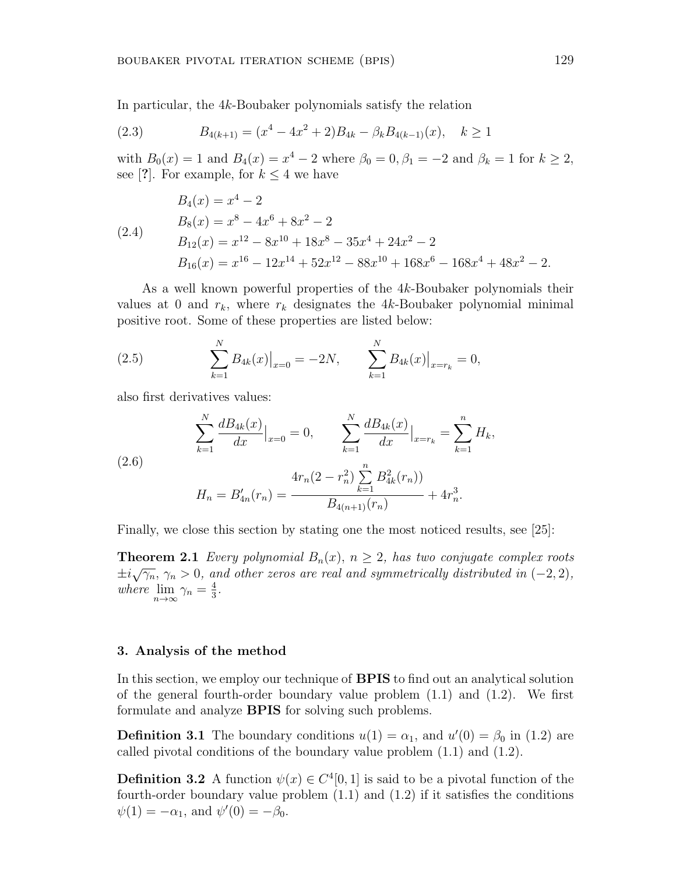In particular, the 4*k*-Boubaker polynomials satisfy the relation

(2.3) 
$$
B_{4(k+1)} = (x^4 - 4x^2 + 2)B_{4k} - \beta_k B_{4(k-1)}(x), \quad k \ge 1
$$

with  $B_0(x) = 1$  and  $B_4(x) = x^4 - 2$  where  $\beta_0 = 0, \beta_1 = -2$  and  $\beta_k = 1$  for  $k \ge 2$ , see [?]. For example, for  $k \leq 4$  we have

$$
B_4(x) = x^4 - 2
$$
  
\n
$$
B_8(x) = x^8 - 4x^6 + 8x^2 - 2
$$
  
\n
$$
B_{12}(x) = x^{12} - 8x^{10} + 18x^8 - 35x^4 + 24x^2 - 2
$$
  
\n
$$
B_{16}(x) = x^{16} - 12x^{14} + 52x^{12} - 88x^{10} + 168x^6 - 168x^4 + 48x^2 - 2.
$$

As a well known powerful properties of the 4*k*-Boubaker polynomials their values at 0 and  $r_k$ , where  $r_k$  designates the 4*k*-Boubaker polynomial minimal positive root. Some of these properties are listed below:

(2.5) 
$$
\sum_{k=1}^{N} B_{4k}(x)|_{x=0} = -2N, \qquad \sum_{k=1}^{N} B_{4k}(x)|_{x=r_k} = 0,
$$

also first derivatives values:

(2.6)  

$$
\sum_{k=1}^{N} \frac{dB_{4k}(x)}{dx} \Big|_{x=0} = 0, \qquad \sum_{k=1}^{N} \frac{dB_{4k}(x)}{dx} \Big|_{x=r_k} = \sum_{k=1}^{n} H_k,
$$

$$
H_n = B'_{4n}(r_n) = \frac{4r_n(2 - r_n^2) \sum_{k=1}^{n} B_{4k}^2(r_n))}{B_{4(n+1)}(r_n)} + 4r_n^3.
$$

Finally, we close this section by stating one the most noticed results, see [25]:

**Theorem 2.1** *Every polynomial*  $B_n(x)$ ,  $n \geq 2$ , has two conjugate complex roots  $\pm i\sqrt{\gamma_n}$ ,  $\gamma_n > 0$ , and other zeros are real and symmetrically distributed in (−2, 2)*, where*  $\lim_{n\to\infty} \gamma_n = \frac{4}{3}$  $\frac{4}{3}$ .

## **3. Analysis of the method**

In this section, we employ our technique of **BPIS** to find out an analytical solution of the general fourth-order boundary value problem  $(1.1)$  and  $(1.2)$ . We first formulate and analyze **BPIS** for solving such problems.

**Definition 3.1** The boundary conditions  $u(1) = \alpha_1$ , and  $u'(0) = \beta_0$  in (1.2) are called pivotal conditions of the boundary value problem (1.1) and (1.2).

**Definition 3.2** A function  $\psi(x) \in C^4[0,1]$  is said to be a pivotal function of the fourth-order boundary value problem (1.1) and (1.2) if it satisfies the conditions  $\psi(1) = -\alpha_1$ , and  $\psi'(0) = -\beta_0$ .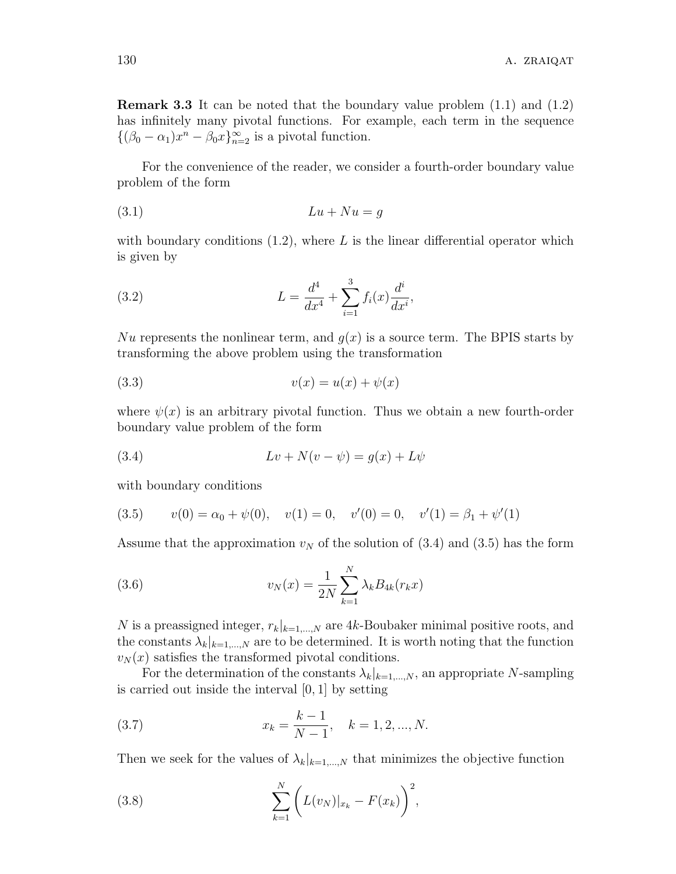**Remark 3.3** It can be noted that the boundary value problem (1.1) and (1.2) has infinitely many pivotal functions. For example, each term in the sequence  $\{(\beta_0 - \alpha_1)x^n - \beta_0x\}_{n=2}^{\infty}$  is a pivotal function.

For the convenience of the reader, we consider a fourth-order boundary value problem of the form

$$
(3.1) \t\t\t Lu + Nu = g
$$

with boundary conditions  $(1.2)$ , where L is the linear differential operator which is given by

(3.2) 
$$
L = \frac{d^4}{dx^4} + \sum_{i=1}^3 f_i(x) \frac{d^i}{dx^i},
$$

Nu represents the nonlinear term, and  $g(x)$  is a source term. The BPIS starts by transforming the above problem using the transformation

$$
(3.3) \t\t v(x) = u(x) + \psi(x)
$$

where  $\psi(x)$  is an arbitrary pivotal function. Thus we obtain a new fourth-order boundary value problem of the form

$$
(3.4) \t\t\t Lv+N(v-\psi)=g(x)+L\psi
$$

with boundary conditions

(3.5) 
$$
v(0) = \alpha_0 + \psi(0)
$$
,  $v(1) = 0$ ,  $v'(0) = 0$ ,  $v'(1) = \beta_1 + \psi'(1)$ 

Assume that the approximation  $v_N$  of the solution of  $(3.4)$  and  $(3.5)$  has the form

(3.6) 
$$
v_N(x) = \frac{1}{2N} \sum_{k=1}^{N} \lambda_k B_{4k}(r_k x)
$$

*N* is a preassigned integer,  $r_k|_{k=1,\dots,N}$  are 4*k*-Boubaker minimal positive roots, and the constants  $\lambda_k|_{k=1,\dots,N}$  are to be determined. It is worth noting that the function  $v_N(x)$  satisfies the transformed pivotal conditions.

For the determination of the constants  $\lambda_k|_{k=1,\dots,N}$ , an appropriate *N*-sampling is carried out inside the interval [0*,* 1] by setting

(3.7) 
$$
x_k = \frac{k-1}{N-1}, \quad k = 1, 2, ..., N.
$$

Then we seek for the values of  $\lambda_k|_{k=1,\dots,N}$  that minimizes the objective function

(3.8) 
$$
\sum_{k=1}^{N} \left( L(v_N)|_{x_k} - F(x_k) \right)^2,
$$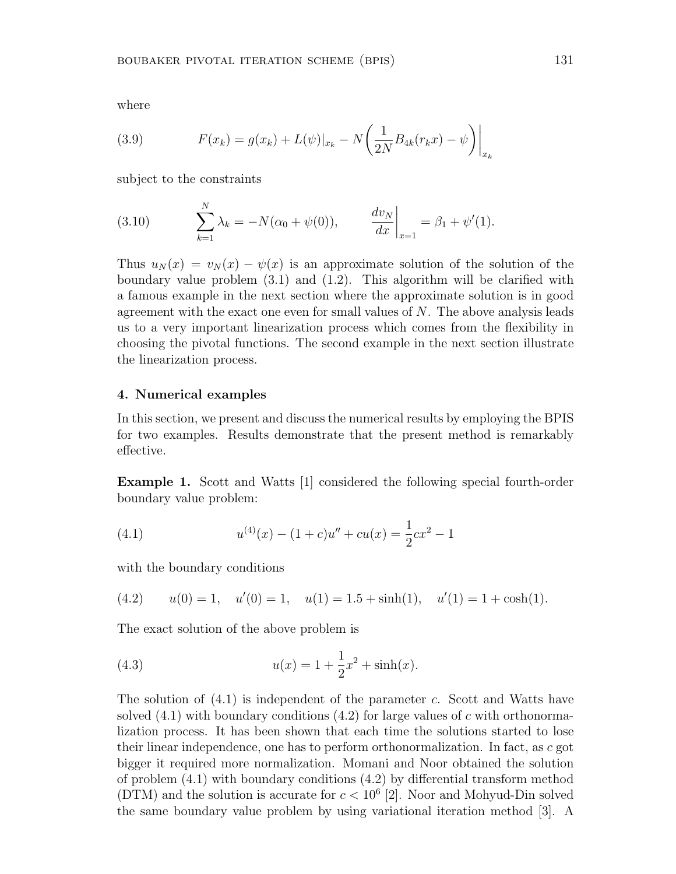where

(3.9) 
$$
F(x_k) = g(x_k) + L(\psi)|_{x_k} - N\left(\frac{1}{2N}B_{4k}(r_kx) - \psi\right)\Big|_{x_k}
$$

subject to the constraints

(3.10) 
$$
\sum_{k=1}^{N} \lambda_k = -N(\alpha_0 + \psi(0)), \qquad \left. \frac{dv_N}{dx} \right|_{x=1} = \beta_1 + \psi'(1).
$$

Thus  $u_N(x) = v_N(x) - \psi(x)$  is an approximate solution of the solution of the boundary value problem (3.1) and (1.2). This algorithm will be clarified with a famous example in the next section where the approximate solution is in good agreement with the exact one even for small values of *N*. The above analysis leads us to a very important linearization process which comes from the flexibility in choosing the pivotal functions. The second example in the next section illustrate the linearization process.

## **4. Numerical examples**

In this section, we present and discuss the numerical results by employing the BPIS for two examples. Results demonstrate that the present method is remarkably effective.

**Example 1.** Scott and Watts [1] considered the following special fourth-order boundary value problem:

(4.1) 
$$
u^{(4)}(x) - (1+c)u'' + cu(x) = \frac{1}{2}cx^2 - 1
$$

with the boundary conditions

(4.2) 
$$
u(0) = 1
$$
,  $u'(0) = 1$ ,  $u(1) = 1.5 + \sinh(1)$ ,  $u'(1) = 1 + \cosh(1)$ .

The exact solution of the above problem is

(4.3) 
$$
u(x) = 1 + \frac{1}{2}x^2 + \sinh(x).
$$

The solution of (4.1) is independent of the parameter *c*. Scott and Watts have solved (4.1) with boundary conditions (4.2) for large values of *c* with orthonormalization process. It has been shown that each time the solutions started to lose their linear independence, one has to perform orthonormalization. In fact, as *c* got bigger it required more normalization. Momani and Noor obtained the solution of problem (4.1) with boundary conditions (4.2) by differential transform method (DTM) and the solution is accurate for  $c < 10^6$  [2]. Noor and Mohyud-Din solved the same boundary value problem by using variational iteration method [3]. A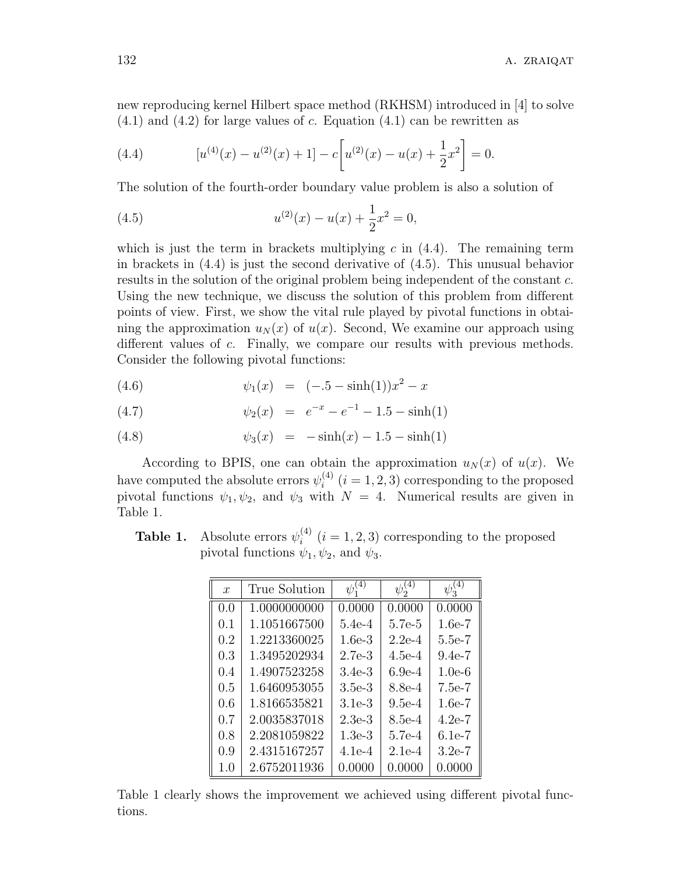new reproducing kernel Hilbert space method (RKHSM) introduced in [4] to solve (4.1) and (4.2) for large values of *c*. Equation (4.1) can be rewritten as

(4.4) 
$$
[u^{(4)}(x) - u^{(2)}(x) + 1] - c[u^{(2)}(x) - u(x) + \frac{1}{2}x^2] = 0.
$$

The solution of the fourth-order boundary value problem is also a solution of

(4.5) 
$$
u^{(2)}(x) - u(x) + \frac{1}{2}x^2 = 0,
$$

which is just the term in brackets multiplying  $c$  in  $(4.4)$ . The remaining term in brackets in (4.4) is just the second derivative of (4.5). This unusual behavior results in the solution of the original problem being independent of the constant *c*. Using the new technique, we discuss the solution of this problem from different points of view. First, we show the vital rule played by pivotal functions in obtaining the approximation  $u_N(x)$  of  $u(x)$ . Second, We examine our approach using different values of *c*. Finally, we compare our results with previous methods. Consider the following pivotal functions:

(4.6) 
$$
\psi_1(x) = (-.5 - \sinh(1))x^2 - x
$$

(4.7) 
$$
\psi_2(x) = e^{-x} - e^{-1} - 1.5 - \sinh(1)
$$

(4.8) 
$$
\psi_3(x) = -\sinh(x) - 1.5 - \sinh(1)
$$

According to BPIS, one can obtain the approximation  $u_N(x)$  of  $u(x)$ . We have computed the absolute errors  $\psi_i^{(4)}$  $i_i^{(4)}$   $(i = 1, 2, 3)$  corresponding to the proposed pivotal functions  $\psi_1, \psi_2$ , and  $\psi_3$  with  $N = 4$ . Numerical results are given in Table 1.

**Table 1.** Absolute errors  $\psi_i^{(4)}$  $i^{(4)}$   $(i = 1, 2, 3)$  corresponding to the proposed pivotal functions  $\psi_1, \psi_2$ , and  $\psi_3$ .

| $\mathcal{X}$ | True Solution |          | $\psi_2$ |          |
|---------------|---------------|----------|----------|----------|
| 0.0           | 1.0000000000  | 0.0000   | 0.0000   | 0.0000   |
| 0.1           | 1.1051667500  | $5.4e-4$ | 5.7e-5   | $1.6e-7$ |
| 0.2           | 1.2213360025  | $1.6e-3$ | $2.2e-4$ | 5.5e-7   |
| 0.3           | 1.3495202934  | $2.7e-3$ | $4.5e-4$ | $9.4e-7$ |
| 0.4           | 1.4907523258  | $3.4e-3$ | $6.9e-4$ | $1.0e-6$ |
| 0.5           | 1.6460953055  | $3.5e-3$ | 8.8e-4   | $7.5e-7$ |
| 0.6           | 1.8166535821  | $3.1e-3$ | $9.5e-4$ | $1.6e-7$ |
| 0.7           | 2.0035837018  | $2.3e-3$ | 8.5e-4   | $4.2e-7$ |
| 0.8           | 2.2081059822  | $1.3e-3$ | 5.7e-4   | $6.1e-7$ |
| 0.9           | 2.4315167257  | $4.1e-4$ | $2.1e-4$ | $3.2e-7$ |
| 1.0           | 2.6752011936  | 0.0000   | 0.0000   | 0.0000   |

Table 1 clearly shows the improvement we achieved using different pivotal functions.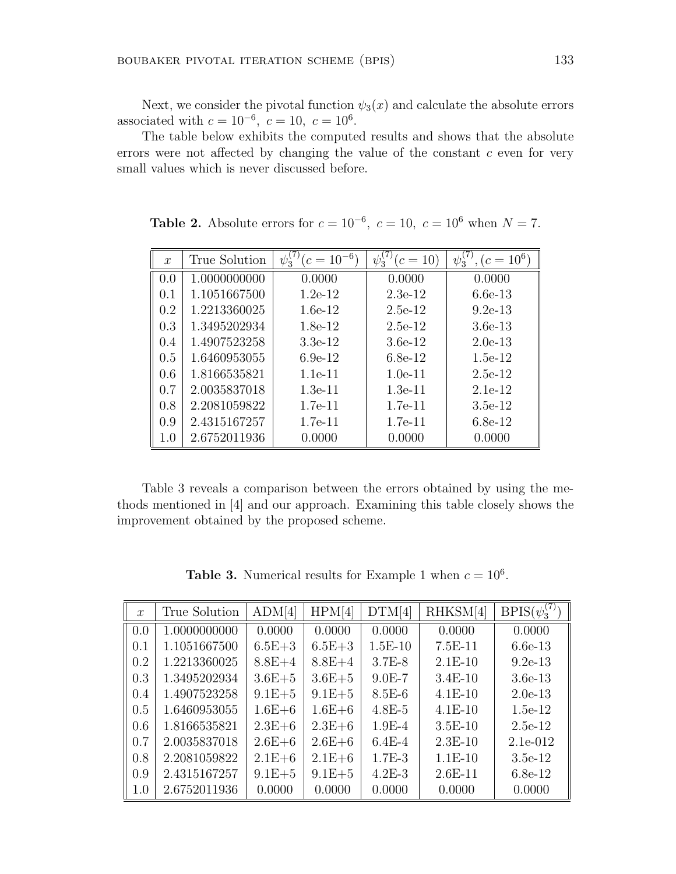Next, we consider the pivotal function  $\psi_3(x)$  and calculate the absolute errors associated with  $c = 10^{-6}$ ,  $c = 10$ ,  $c = 10^6$ .

The table below exhibits the computed results and shows that the absolute errors were not affected by changing the value of the constant *c* even for very small values which is never discussed before.

| $\mathcal{X}$ | True Solution | $(c=10^{-6})$<br>$\psi_3^{\vee}$ | $(c = 10)$<br>$\psi_3$ | $, (c = 10^6)$<br>$\psi_3^{\vee}$ |
|---------------|---------------|----------------------------------|------------------------|-----------------------------------|
| 0.0           | 1.0000000000  | 0.0000                           | 0.0000                 | 0.0000                            |
| 0.1           | 1.1051667500  | $1.2e-12$                        | $2.3e-12$              | $6.6e-13$                         |
| 0.2           | 1.2213360025  | $1.6e-12$                        | $2.5e-12$              | $9.2e-13$                         |
| 0.3           | 1.3495202934  | $1.8e-12$                        | $2.5e-12$              | $3.6e-13$                         |
| 0.4           | 1.4907523258  | $3.3e-12$                        | $3.6e-12$              | $2.0e-13$                         |
| 0.5           | 1.6460953055  | $6.9e-12$                        | $6.8e-12$              | $1.5e-12$                         |
| 0.6           | 1.8166535821  | $1.1e-11$                        | $1.0e-11$              | $2.5e-12$                         |
| 0.7           | 2.0035837018  | $1.3e-11$                        | $1.3e-11$              | $2.1e-12$                         |
| 0.8           | 2.2081059822  | $1.7e-11$                        | $1.7e-11$              | $3.5e-12$                         |
| 0.9           | 2.4315167257  | $1.7e-11$                        | 1.7e-11                | $6.8e-12$                         |
| $1.0\,$       | 2.6752011936  | 0.0000                           | 0.0000                 | 0.0000                            |

**Table 2.** Absolute errors for  $c = 10^{-6}$ ,  $c = 10$ ,  $c = 10^6$  when  $N = 7$ .

Table 3 reveals a comparison between the errors obtained by using the methods mentioned in [4] and our approach. Examining this table closely shows the improvement obtained by the proposed scheme.

**Table 3.** Numerical results for Example 1 when  $c = 10^6$ .

| $\mathcal{X}$ | True Solution | ADM[4]     | HPM[4]     | DTM[4]    | RHKSM[4]  | $BPIS(\psi_3^{(7)}$ |
|---------------|---------------|------------|------------|-----------|-----------|---------------------|
| 0.0           | 1.0000000000  | 0.0000     | 0.0000     | 0.0000    | 0.0000    | 0.0000              |
| 0.1           | 1.1051667500  | $6.5E + 3$ | $6.5E + 3$ | $1.5E-10$ | $7.5E-11$ | $6.6e-13$           |
| 0.2           | 1.2213360025  | $8.8E + 4$ | $8.8E+4$   | $3.7E-8$  | $2.1E-10$ | $9.2e-13$           |
| 0.3           | 1.3495202934  | $3.6E + 5$ | $3.6E + 5$ | $9.0E-7$  | $3.4E-10$ | $3.6e-13$           |
| 0.4           | 1.4907523258  | $9.1E + 5$ | $9.1E + 5$ | $8.5E-6$  | $4.1E-10$ | $2.0e-13$           |
| 0.5           | 1.6460953055  | $1.6E + 6$ | $1.6E + 6$ | $4.8E-5$  | $4.1E-10$ | $1.5e-12$           |
| 0.6           | 1.8166535821  | $2.3E + 6$ | $2.3E + 6$ | $1.9E-4$  | $3.5E-10$ | $2.5e-12$           |
| 0.7           | 2.0035837018  | $2.6E + 6$ | $2.6E + 6$ | $6.4E-4$  | $2.3E-10$ | $2.1e-012$          |
| 0.8           | 2.2081059822  | $2.1E + 6$ | $2.1E + 6$ | $1.7E-3$  | $1.1E-10$ | $3.5e-12$           |
| 0.9           | 2.4315167257  | $9.1E + 5$ | $9.1E + 5$ | $4.2E-3$  | $2.6E-11$ | $6.8e-12$           |
| 1.0           | 2.6752011936  | 0.0000     | 0.0000     | 0.0000    | 0.0000    | 0.0000              |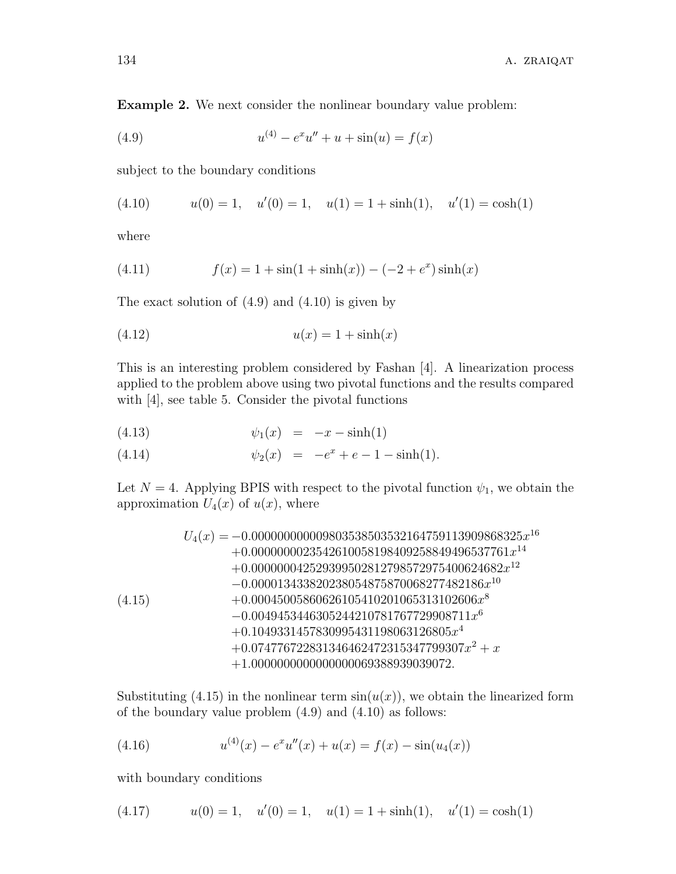**Example 2.** We next consider the nonlinear boundary value problem:

(4.9) 
$$
u^{(4)} - e^x u'' + u + \sin(u) = f(x)
$$

subject to the boundary conditions

(4.10) 
$$
u(0) = 1
$$
,  $u'(0) = 1$ ,  $u(1) = 1 + \sinh(1)$ ,  $u'(1) = \cosh(1)$ 

where

(4.11) 
$$
f(x) = 1 + \sin(1 + \sinh(x)) - (-2 + e^x)\sinh(x)
$$

The exact solution of  $(4.9)$  and  $(4.10)$  is given by

$$
(4.12) \t\t u(x) = 1 + \sinh(x)
$$

This is an interesting problem considered by Fashan [4]. A linearization process applied to the problem above using two pivotal functions and the results compared with [4], see table 5. Consider the pivotal functions

(4.13) 
$$
\psi_1(x) = -x - \sinh(1)
$$

(4.14) 
$$
\psi_2(x) = -e^x + e - 1 - \sinh(1).
$$

Let  $N = 4$ . Applying BPIS with respect to the pivotal function  $\psi_1$ , we obtain the approximation  $U_4(x)$  of  $u(x)$ , where

$$
U_4(x) = -0.00000000009803538503532164759113909868325x^{16} + 0.0000000023542610058198409258849496537761x^{14} + 0.000000042529399502812798572975400624682x^{12} - 0.000013433820238054875870068277482186x^{10} + 0.00045005860626105410201065313102606x^8 - 0.0049453446305244210781767729908711x^6 + 0.1049331457830995431198063126805x^4 + 0.074776722831346462472315347799307x^2 + x + 1.0000000000000000000089388939039072.
$$

Substituting  $(4.15)$  in the nonlinear term  $sin(u(x))$ , we obtain the linearized form of the boundary value problem (4.9) and (4.10) as follows:

(4.16) 
$$
u^{(4)}(x) - e^x u''(x) + u(x) = f(x) - \sin(u_4(x))
$$

with boundary conditions

$$
(4.17) \t u(0) = 1, \t u'(0) = 1, \t u(1) = 1 + \sinh(1), \t u'(1) = \cosh(1)
$$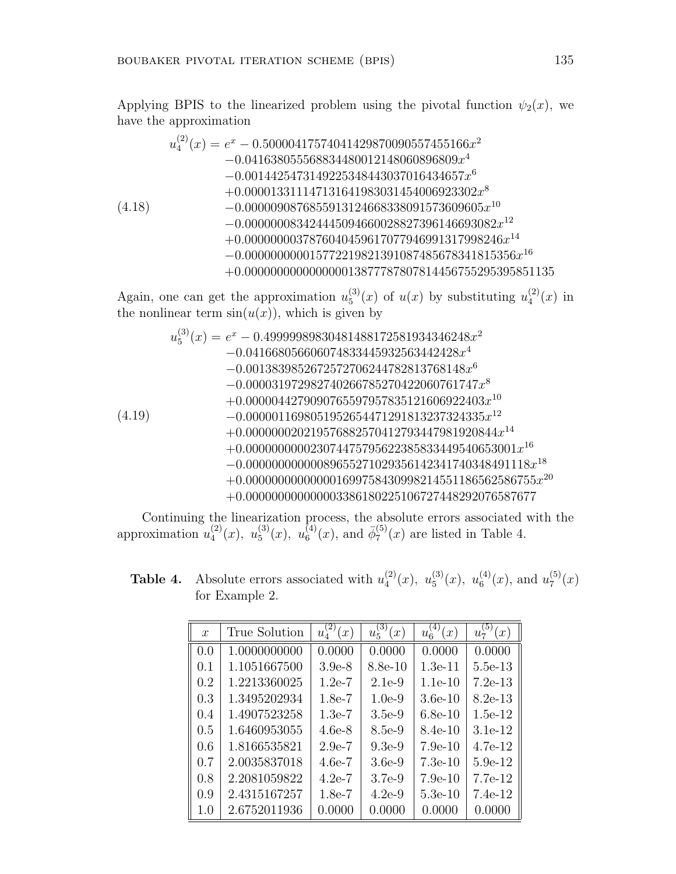Applying BPIS to the linearized problem using the pivotal function  $\psi_2(x)$ , we have the approximation

$$
u_4^{(2)}(x) = e^x - 0.50000417574041429870090557455166x^2
$$
  
\n
$$
-0.041638055568834480012148060896809x^4
$$
  
\n
$$
-0.0014425473149225348443037016434657x^6
$$
  
\n
$$
+0.000013311147131641983031454006923302x^8
$$
  
\n
$$
-0.0000090876855913124668338091573609605x^{10}
$$
  
\n
$$
-0.000000083424445094660028827396146693082x^{12}
$$
  
\n
$$
+0.0000000037876040459617077946991317998246x^{14}
$$
  
\n
$$
-0.0000000000015772219821391087485678341815356x^{16}
$$
  
\n
$$
+0.000000000000000013877787807814456755295395851135
$$

Again, one can get the approximation  $u_5^{(3)}$  $u_5^{(3)}(x)$  of  $u(x)$  by substituting  $u_4^{(2)}$  $_4^{(2)}(x)$  in the nonlinear term  $sin(u(x))$ , which is given by

$$
u_5^{(3)}(x) = e^x - 0.49999989830481488172581934346248x^2-0.0416680566060748333445932563442428x^4-0.0013839852672572706244782813768148x^6-0.000031972982740266785270422060761747x^8+0.0000044279090765597957835121606922403x^{10}-0.0000011698051952654471291813237324335x^{12}+0.000000020219576882570412793447981920844x^{14}+0.00000000002219576882570412793447981920844x^{14}-0.00000000000089655271029356142341740348491118x^{18}+0.0000000000000089655271029356142341740348491118x^{18}+0.0000000000000003386180225106727448292076587677
$$

Continuing the linearization process, the absolute errors associated with the approximation  $u_4^{(2)}$  $u_4^{(2)}(x), u_5^{(3)}$  $u_5^{(3)}(x), u_6^{(4)}$  $\bar{\phi}_6^{(4)}(x)$ , and  $\bar{\phi}_7^{(5)}$  $T_7^{(5)}(x)$  are listed in Table 4.

**Table 4.** Absolute errors associated with  $u_4^{(2)}$  $u_4^{(2)}(x), u_5^{(3)}$  $u_5^{(3)}(x), u_6^{(4)}$  $u_6^{(4)}(x)$ , and  $u_7^{(5)}$  $x_7^{(5)}(x)$ for Example 2.

| $\boldsymbol{x}$ | True Solution | (2)<br>$\left( x\right)$<br>$u_4$ | (3)<br>(x)<br>$u_{5}$ | (4)<br>(x)<br>$u_6$ | (5)<br>(x)<br>$u_{\tau}$ |
|------------------|---------------|-----------------------------------|-----------------------|---------------------|--------------------------|
| 0.0              | 1.0000000000  | 0.0000                            | 0.0000                | 0.0000              | 0.0000                   |
| 0.1              | 1.1051667500  | $3.9e-8$                          | 8.8e-10               | $1.3e-11$           | 5.5e-13                  |
| 0.2              | 1.2213360025  | $1.2e-7$                          | $2.1e-9$              | $1.1e-10$           | $7.2e-13$                |
| 0.3              | 1.3495202934  | $1.8e-7$                          | $1.0e-9$              | $3.6e-10$           | $8.2e-13$                |
| 0.4              | 1.4907523258  | $1.3e-7$                          | $3.5e-9$              | $6.8e-10$           | $1.5e-12$                |
| 0.5              | 1.6460953055  | $4.6e-8$                          | 8.5e-9                | 8.4e-10             | $3.1e-12$                |
| 0.6              | 1.8166535821  | $2.9e-7$                          | $9.3e-9$              | $7.9e-10$           | 4.7e-12                  |
| 0.7              | 2.0035837018  | $4.6e-7$                          | $3.6e-9$              | $7.3e-10$           | $5.9e-12$                |
| 0.8              | 2.2081059822  | $4.2e-7$                          | $3.7e-9$              | $7.9e-10$           | 7.7e-12                  |
| 0.9              | 2.4315167257  | $1.8e-7$                          | $4.2e-9$              | $5.3e-10$           | $7.4e-12$                |
| 1.0              | 2.6752011936  | 0.0000                            | 0.0000                | 0.0000              | 0.0000                   |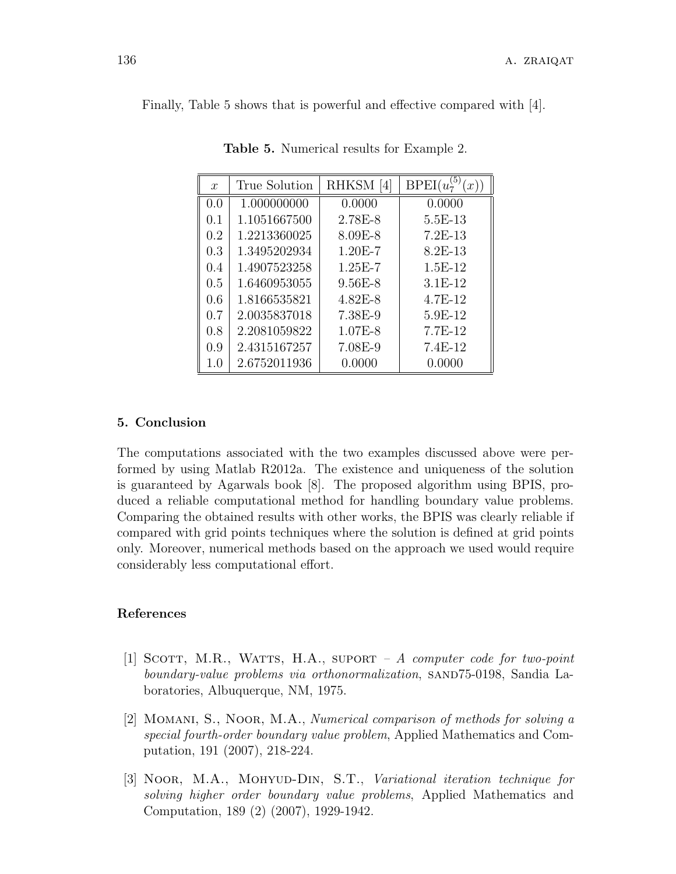Finally, Table 5 shows that is powerful and effective compared with [4].

| $\mathcal{X}$ | True Solution | RHKSM[4]    | BPEI(u)<br>x) |
|---------------|---------------|-------------|---------------|
| 0.0           | 1.000000000   | 0.0000      | 0.0000        |
| 0.1           | 1.1051667500  | 2.78E-8     | 5.5E-13       |
| 0.2           | 1.2213360025  | $8.09E-8$   | $7.2E-13$     |
| 0.3           | 1.3495202934  | $1.20E - 7$ | $8.2E-13$     |
| 0.4           | 1.4907523258  | $1.25E - 7$ | $1.5E-12$     |
| 0.5           | 1.6460953055  | $9.56E-8$   | $3.1E-12$     |
| 0.6           | 1.8166535821  | $4.82E - 8$ | 4.7E-12       |
| 0.7           | 2.0035837018  | 7.38E-9     | 5.9E-12       |
| 0.8           | 2.2081059822  | 1.07E-8     | 7.7E-12       |
| 0.9           | 2.4315167257  | 7.08E-9     | 7.4E-12       |
| 1.0           | 2.6752011936  | 0.0000      | 0.0000        |

**Table 5.** Numerical results for Example 2.

# **5. Conclusion**

The computations associated with the two examples discussed above were performed by using Matlab R2012a. The existence and uniqueness of the solution is guaranteed by Agarwals book [8]. The proposed algorithm using BPIS, produced a reliable computational method for handling boundary value problems. Comparing the obtained results with other works, the BPIS was clearly reliable if compared with grid points techniques where the solution is defined at grid points only. Moreover, numerical methods based on the approach we used would require considerably less computational effort.

# **References**

- [1] Scott, M.R., Watts, H.A., suport  *A computer code for two-point boundary-value problems via orthonormalization*, sand75-0198, Sandia Laboratories, Albuquerque, NM, 1975.
- [2] Momani, S., Noor, M.A., *Numerical comparison of methods for solving a special fourth-order boundary value problem*, Applied Mathematics and Computation, 191 (2007), 218-224.
- [3] Noor, M.A., Mohyup-Din, S.T., *Variational iteration technique for solving higher order boundary value problems*, Applied Mathematics and Computation, 189 (2) (2007), 1929-1942.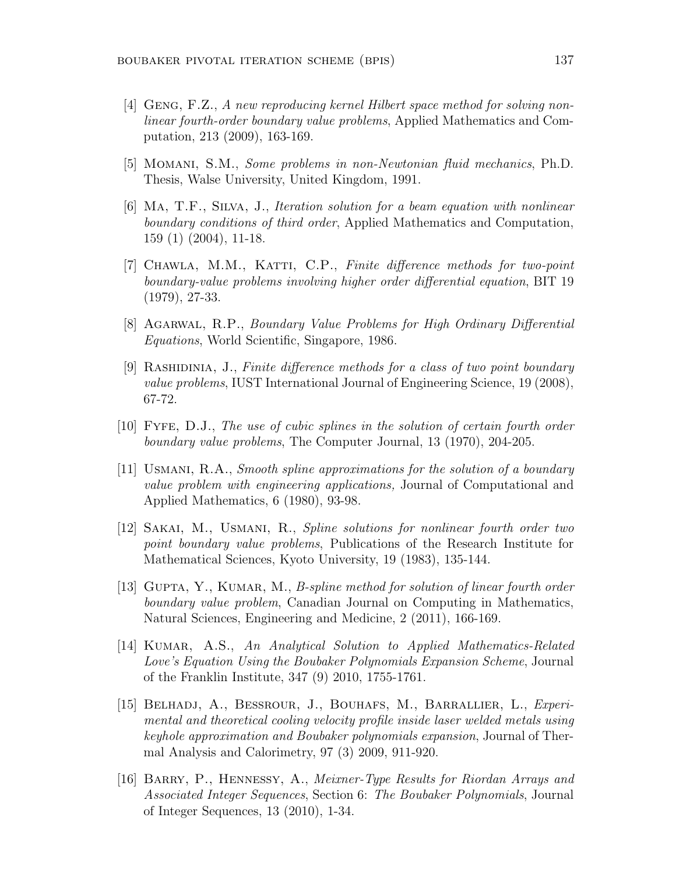- [4] Geng, F.Z., *A new reproducing kernel Hilbert space method for solving nonlinear fourth-order boundary value problems*, Applied Mathematics and Computation, 213 (2009), 163-169.
- [5] Momani, S.M., *Some problems in non-Newtonian fluid mechanics*, Ph.D. Thesis, Walse University, United Kingdom, 1991.
- [6] Ma, T.F., Silva, J., *Iteration solution for a beam equation with nonlinear boundary conditions of third order*, Applied Mathematics and Computation, 159 (1) (2004), 11-18.
- [7] Chawla, M.M., Katti, C.P., *Finite difference methods for two-point boundary-value problems involving higher order differential equation*, BIT 19 (1979), 27-33.
- [8] Agarwal, R.P., *Boundary Value Problems for High Ordinary Differential Equations*, World Scientific, Singapore, 1986.
- [9] Rashidinia, J., *Finite difference methods for a class of two point boundary value problems*, IUST International Journal of Engineering Science, 19 (2008), 67-72.
- [10] Fyfe, D.J., *The use of cubic splines in the solution of certain fourth order boundary value problems*, The Computer Journal, 13 (1970), 204-205.
- [11] Usmani, R.A., *Smooth spline approximations for the solution of a boundary value problem with engineering applications,* Journal of Computational and Applied Mathematics, 6 (1980), 93-98.
- [12] Sakai, M., Usmani, R., *Spline solutions for nonlinear fourth order two point boundary value problems*, Publications of the Research Institute for Mathematical Sciences, Kyoto University, 19 (1983), 135-144.
- [13] GUPTA, Y., KUMAR, M., *B-spline method for solution of linear fourth order boundary value problem*, Canadian Journal on Computing in Mathematics, Natural Sciences, Engineering and Medicine, 2 (2011), 166-169.
- [14] Kumar, A.S., *An Analytical Solution to Applied Mathematics-Related Love's Equation Using the Boubaker Polynomials Expansion Scheme*, Journal of the Franklin Institute, 347 (9) 2010, 1755-1761.
- [15] Belhadj, A., Bessrour, J., Bouhafs, M., Barrallier, L., *Experimental and theoretical cooling velocity profile inside laser welded metals using keyhole approximation and Boubaker polynomials expansion*, Journal of Thermal Analysis and Calorimetry, 97 (3) 2009, 911-920.
- [16] BARRY, P., HENNESSY, A., *Meixner-Type Results for Riordan Arrays and Associated Integer Sequences*, Section 6: *The Boubaker Polynomials*, Journal of Integer Sequences, 13 (2010), 1-34.